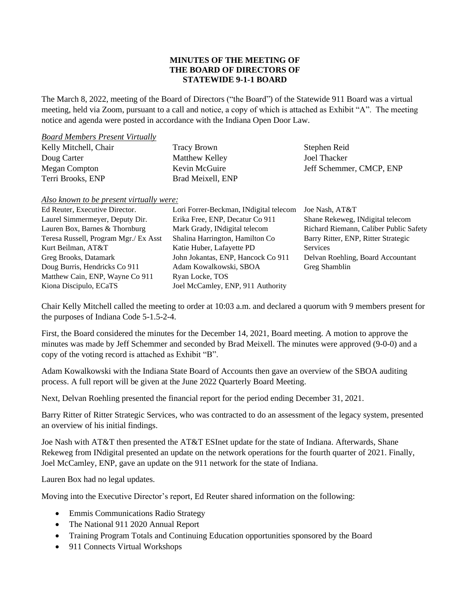## **MINUTES OF THE MEETING OF THE BOARD OF DIRECTORS OF STATEWIDE 9-1-1 BOARD**

The March 8, 2022, meeting of the Board of Directors ("the Board") of the Statewide 911 Board was a virtual meeting, held via Zoom, pursuant to a call and notice, a copy of which is attached as Exhibit "A". The meeting notice and agenda were posted in accordance with the Indiana Open Door Law.

## *Board Members Present Virtually*

| Kelly Mitchell, Chair | <b>Tracy Brown</b>    | Stephen Reid             |
|-----------------------|-----------------------|--------------------------|
| Doug Carter           | <b>Matthew Kelley</b> | Joel Thacker             |
| Megan Compton         | Kevin McGuire         | Jeff Schemmer, CMCP, ENP |
| Terri Brooks, ENP     | Brad Meixell, ENP     |                          |

*Also known to be present virtually were:*

| Ed Reuter, Executive Director.        | Lori Forrer-Beckman, INdigital telecom | Joe Nash, AT&T                         |
|---------------------------------------|----------------------------------------|----------------------------------------|
| Laurel Simmermeyer, Deputy Dir.       | Erika Free, ENP, Decatur Co 911        | Shane Rekeweg, INdigital telecom       |
| Lauren Box, Barnes & Thornburg        | Mark Grady, INdigital telecom          | Richard Riemann, Caliber Public Safety |
| Teresa Russell, Program Mgr./ Ex Asst | Shalina Harrington, Hamilton Co        | Barry Ritter, ENP, Ritter Strategic    |
| Kurt Beilman, AT&T                    | Katie Huber, Lafayette PD              | <b>Services</b>                        |
| Greg Brooks, Datamark                 | John Jokantas, ENP, Hancock Co 911     | Delvan Roehling, Board Accountant      |
| Doug Burris, Hendricks Co 911         | Adam Kowalkowski, SBOA                 | Greg Shamblin                          |
| Matthew Cain, ENP, Wayne Co 911       | Ryan Locke, TOS                        |                                        |
| Kiona Discipulo, ECaTS                | Joel McCamley, ENP, 911 Authority      |                                        |

Chair Kelly Mitchell called the meeting to order at 10:03 a.m. and declared a quorum with 9 members present for the purposes of Indiana Code 5-1.5-2-4.

First, the Board considered the minutes for the December 14, 2021, Board meeting. A motion to approve the minutes was made by Jeff Schemmer and seconded by Brad Meixell. The minutes were approved (9-0-0) and a copy of the voting record is attached as Exhibit "B".

Adam Kowalkowski with the Indiana State Board of Accounts then gave an overview of the SBOA auditing process. A full report will be given at the June 2022 Quarterly Board Meeting.

Next, Delvan Roehling presented the financial report for the period ending December 31, 2021.

Barry Ritter of Ritter Strategic Services, who was contracted to do an assessment of the legacy system, presented an overview of his initial findings.

Joe Nash with AT&T then presented the AT&T ESInet update for the state of Indiana. Afterwards, Shane Rekeweg from INdigital presented an update on the network operations for the fourth quarter of 2021. Finally, Joel McCamley, ENP, gave an update on the 911 network for the state of Indiana.

Lauren Box had no legal updates.

Moving into the Executive Director's report, Ed Reuter shared information on the following:

- Emmis Communications Radio Strategy
- The National 911 2020 Annual Report
- Training Program Totals and Continuing Education opportunities sponsored by the Board
- 911 Connects Virtual Workshops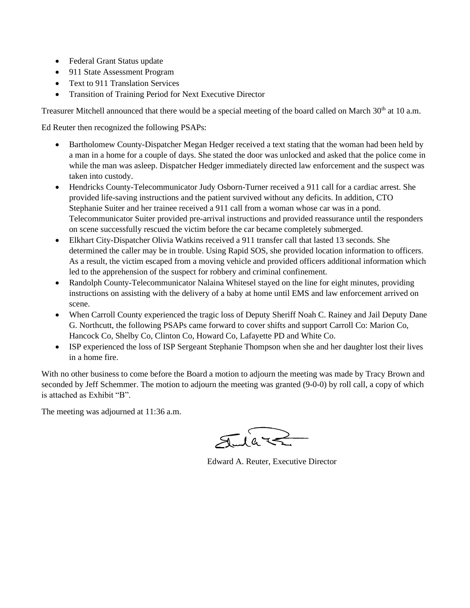- Federal Grant Status update
- 911 State Assessment Program
- Text to 911 Translation Services
- Transition of Training Period for Next Executive Director

Treasurer Mitchell announced that there would be a special meeting of the board called on March 30<sup>th</sup> at 10 a.m.

Ed Reuter then recognized the following PSAPs:

- Bartholomew County-Dispatcher Megan Hedger received a text stating that the woman had been held by a man in a home for a couple of days. She stated the door was unlocked and asked that the police come in while the man was asleep. Dispatcher Hedger immediately directed law enforcement and the suspect was taken into custody.
- Hendricks County-Telecommunicator Judy Osborn-Turner received a 911 call for a cardiac arrest. She provided life-saving instructions and the patient survived without any deficits. In addition, CTO Stephanie Suiter and her trainee received a 911 call from a woman whose car was in a pond. Telecommunicator Suiter provided pre-arrival instructions and provided reassurance until the responders on scene successfully rescued the victim before the car became completely submerged.
- Elkhart City-Dispatcher Olivia Watkins received a 911 transfer call that lasted 13 seconds. She determined the caller may be in trouble. Using Rapid SOS, she provided location information to officers. As a result, the victim escaped from a moving vehicle and provided officers additional information which led to the apprehension of the suspect for robbery and criminal confinement.
- Randolph County-Telecommunicator Nalaina Whitesel stayed on the line for eight minutes, providing instructions on assisting with the delivery of a baby at home until EMS and law enforcement arrived on scene.
- When Carroll County experienced the tragic loss of Deputy Sheriff Noah C. Rainey and Jail Deputy Dane G. Northcutt, the following PSAPs came forward to cover shifts and support Carroll Co: Marion Co, Hancock Co, Shelby Co, Clinton Co, Howard Co, Lafayette PD and White Co.
- ISP experienced the loss of ISP Sergeant Stephanie Thompson when she and her daughter lost their lives in a home fire.

With no other business to come before the Board a motion to adjourn the meeting was made by Tracy Brown and seconded by Jeff Schemmer. The motion to adjourn the meeting was granted (9-0-0) by roll call, a copy of which is attached as Exhibit "B".

The meeting was adjourned at 11:36 a.m.

Edward A. Reuter, Executive Director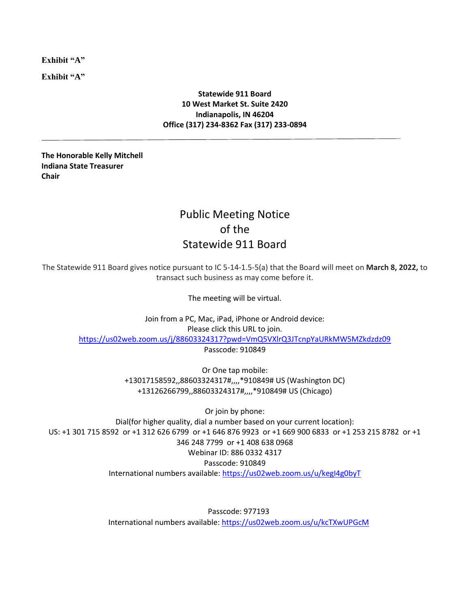**Exhibit "A"**

**Exhibit "A"**

## **Statewide 911 Board 10 West Market St. Suite 2420 Indianapolis, IN 46204 Office (317) 234-8362 Fax (317) 233-0894**

**The Honorable Kelly Mitchell Indiana State Treasurer Chair**

## Public Meeting Notice of the Statewide 911 Board

The Statewide 911 Board gives notice pursuant to IC 5-14-1.5-5(a) that the Board will meet on **March 8, 2022,** to transact such business as may come before it.

The meeting will be virtual.

Join from a PC, Mac, iPad, iPhone or Android device: Please click this URL to join. <https://us02web.zoom.us/j/88603324317?pwd=VmQ5VXlrQ3JTcnpYaURkMW5MZkdzdz09> Passcode: 910849

> Or One tap mobile: +13017158592,,88603324317#,,,,\*910849# US (Washington DC) +13126266799,,88603324317#,,,,\*910849# US (Chicago)

Or join by phone: Dial(for higher quality, dial a number based on your current location): US: +1 301 715 8592 or +1 312 626 6799 or +1 646 876 9923 or +1 669 900 6833 or +1 253 215 8782 or +1 346 248 7799 or +1 408 638 0968 Webinar ID: 886 0332 4317 Passcode: 910849 International numbers available[: https://us02web.zoom.us/u/kegI4g0byT](https://us02web.zoom.us/u/kegI4g0byT)

> Passcode: 977193 International numbers available:<https://us02web.zoom.us/u/kcTXwUPGcM>